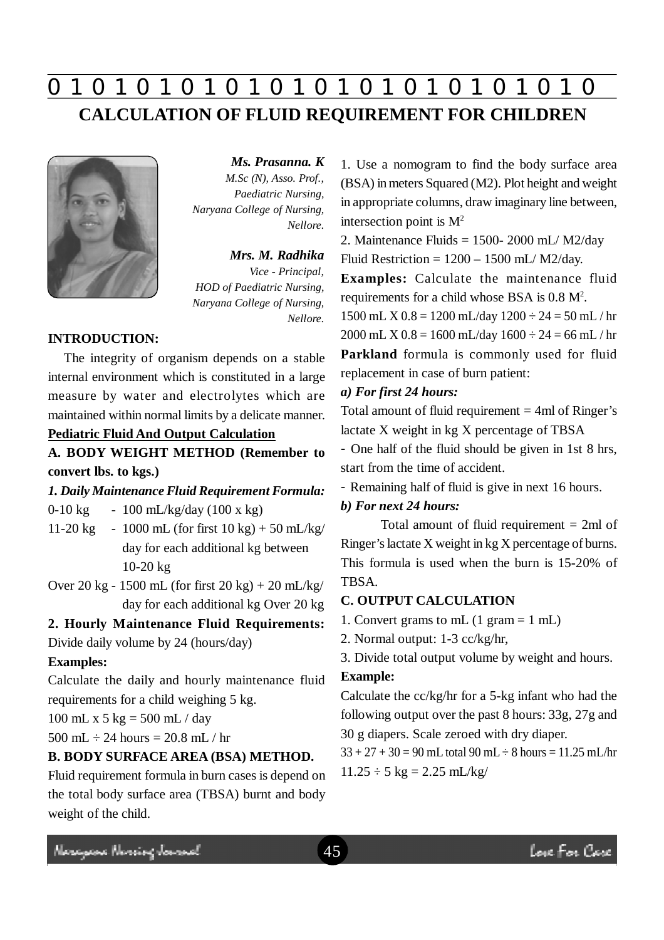# **0 z 0 z 0 z 0 z 0 z 0 z 0 z 0 z 0 z 0 z 0 z 0 z 0 CALCULATION OF FLUID REQUIREMENT FOR CHILDREN**



*Ms. Prasanna. K M.Sc (N), Asso. Prof., Paediatric Nursing, Naryana College of Nursing, Nellore.*

## *Mrs. M. Radhika*

*Vice - Principal, HOD of Paediatric Nursing, Naryana College of Nursing, Nellore.*

## **INTRODUCTION:**

The integrity of organism depends on a stable internal environment which is constituted in a large measure by water and electrolytes which are maintained within normal limits by a delicate manner.

# **Pediatric Fluid And Output Calculation**

**A. BODY WEIGHT METHOD (Remember to convert lbs. to kgs.)**

## *1. Daily Maintenance Fluid Requirement Formula:*

0-10 kg  $-100$  mL/kg/day (100 x kg)

- 11-20 kg 1000 mL (for first  $10 \text{ kg}$ ) + 50 mL/kg/ day for each additional kg between 10-20 kg
- Over 20 kg 1500 mL (for first  $20 \text{ kg} + 20 \text{ mL/kg}$ ) day for each additional kg Over 20 kg

# **2. Hourly Maintenance Fluid Requirements:**

Divide daily volume by 24 (hours/day)

### **Examples:**

Calculate the daily and hourly maintenance fluid requirements for a child weighing 5 kg.

100 mL x 5 kg = 500 mL / day

500 mL  $\div$  24 hours = 20.8 mL / hr

# **B. BODY SURFACE AREA (BSA) METHOD.**

Fluid requirement formula in burn cases is depend on the total body surface area (TBSA) burnt and body weight of the child.

1. Use a nomogram to find the body surface area (BSA) in meters Squared (M2). Plot height and weight in appropriate columns, draw imaginary line between, intersection point is  $M^2$ 

2. Maintenance Fluids = 1500- 2000 mL/ M2/day Fluid Restriction =  $1200 - 1500$  mL/ M2/day.

**Examples:** Calculate the maintenance fluid requirements for a child whose BSA is 0.8 M<sup>2</sup> .

1500 mL X  $0.8 = 1200$  mL/day  $1200 \div 24 = 50$  mL/hr 2000 mL X  $0.8 = 1600$  mL/day  $1600 \div 24 = 66$  mL/hr **Parkland** formula is commonly used for fluid replacement in case of burn patient:

### *a) For first 24 hours:*

Total amount of fluid requirement  $=$  4ml of Ringer's lactate X weight in kg X percentage of TBSA

- One half of the fluid should be given in 1st 8 hrs, start from the time of accident.

- Remaining half of fluid is give in next 16 hours.

# *b) For next 24 hours:*

Total amount of fluid requirement = 2ml of Ringer's lactate X weight in kg X percentage of burns. This formula is used when the burn is 15-20% of TBSA.

# **C. OUTPUT CALCULATION**

- 1. Convert grams to mL (1 gram = 1 mL)
- 2. Normal output: 1-3 cc/kg/hr,
- 3. Divide total output volume by weight and hours.

### **Example:**

Calculate the cc/kg/hr for a 5-kg infant who had the following output over the past 8 hours: 33g, 27g and 30 g diapers. Scale zeroed with dry diaper.

 $33 + 27 + 30 = 90$  mL total 90 mL  $\div$  8 hours = 11.25 mL/hr  $11.25 \div 5 \text{ kg} = 2.25 \text{ mL/kg}$